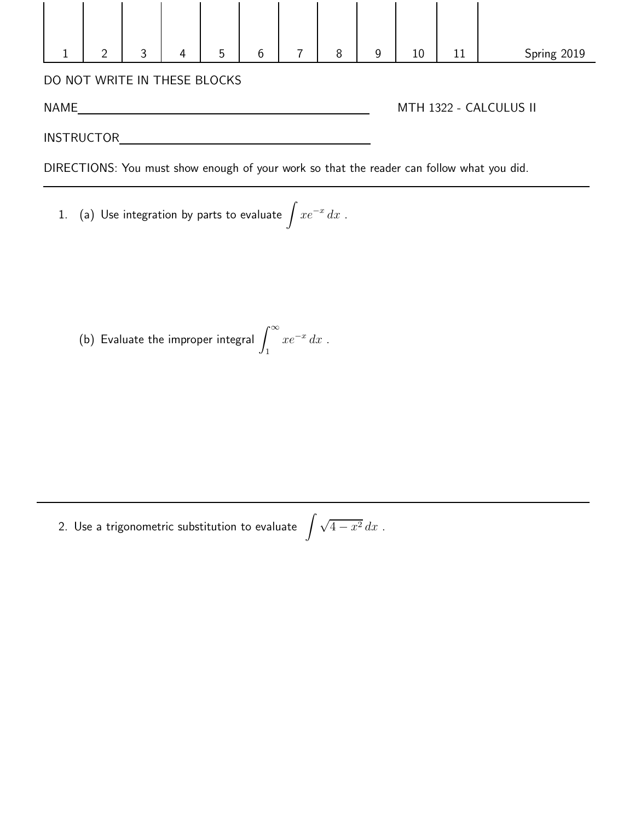|                                                                                           | $\overline{2}$ | 3 | 4 | 5 | 6 |  | 8 | 9 | 10                     | 11 | Spring 2019 |  |
|-------------------------------------------------------------------------------------------|----------------|---|---|---|---|--|---|---|------------------------|----|-------------|--|
| DO NOT WRITE IN THESE BLOCKS                                                              |                |   |   |   |   |  |   |   |                        |    |             |  |
| <b>NAME</b>                                                                               |                |   |   |   |   |  |   |   | MTH 1322 - CALCULUS II |    |             |  |
| <b>INSTRUCTOR</b>                                                                         |                |   |   |   |   |  |   |   |                        |    |             |  |
| DIRECTIONS: You must show enough of your work so that the reader can follow what you did. |                |   |   |   |   |  |   |   |                        |    |             |  |

1.  $\,$  (a) Use integration by parts to evaluate  $\int xe^{-x} \, dx$  .

(b) Evaluate the improper integral  $\int^\infty$ 1  $xe^{-x} dx$ .

2. Use a trigonometric substitution to evaluate  $\,\,\int{\sqrt{4-x^2}\,dx}$  .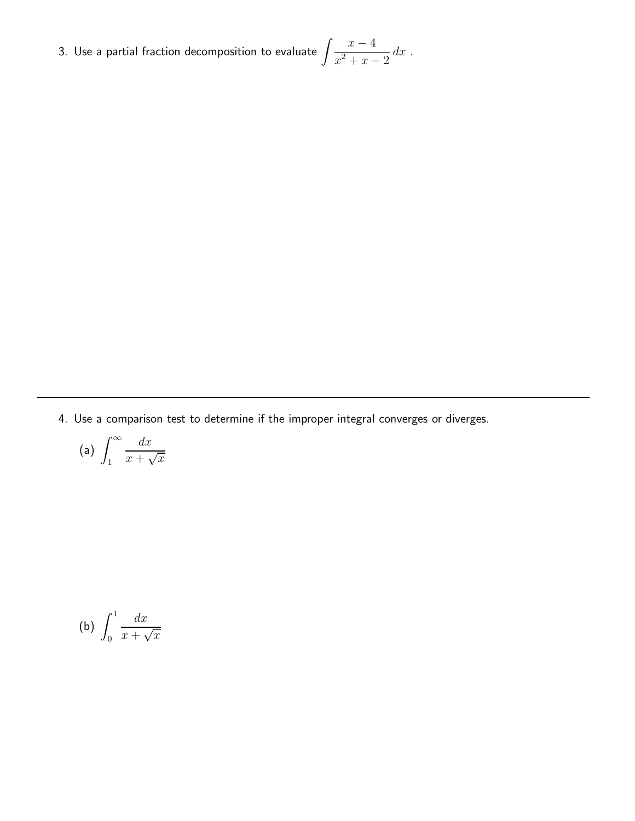3. Use a partial fraction decomposition to evaluate  $\int \frac{x-4}{x-4}$  $\int \frac{x}{x^2 + x - 2} dx$ .

4. Use a comparison test to determine if the improper integral converges or diverges.

(a) 
$$
\int_{1}^{\infty} \frac{dx}{x + \sqrt{x}}
$$

$$
\text{(b)}\ \int_0^1 \frac{dx}{x+\sqrt{x}}
$$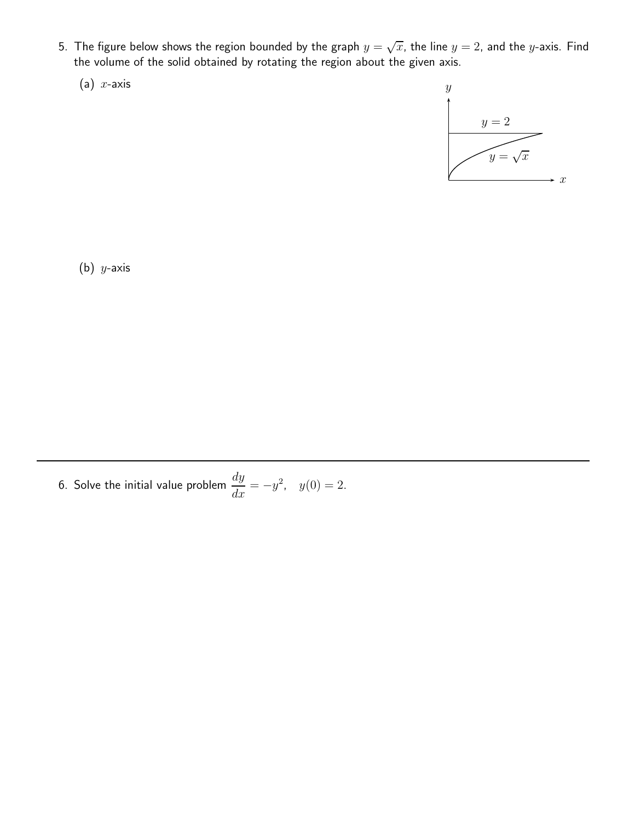- 5. The figure below shows the region bounded by the graph  $y=\sqrt{x}$ , the line  $y=2$ , and the  $y$ -axis. Find the volume of the solid obtained by rotating the region about the given axis.
	- (a)  $x$ -axis



(b)  $y$ -axis

6. Solve the initial value problem  $\frac{dy}{dx} = -y^2$ ,  $y(0) = 2$ .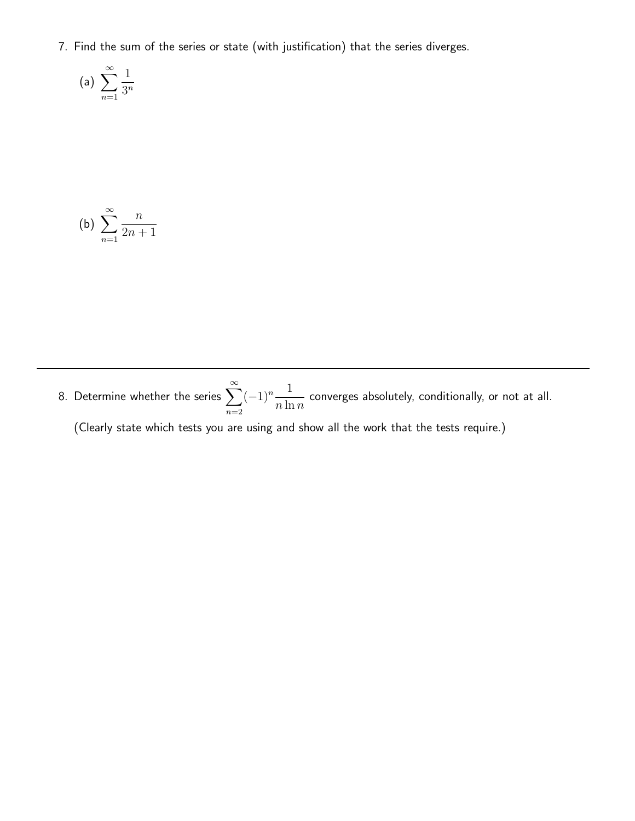7. Find the sum of the series or state (with justification) that the series diverges.

(a) 
$$
\sum_{n=1}^{\infty} \frac{1}{3^n}
$$

(b) 
$$
\sum_{n=1}^{\infty} \frac{n}{2n+1}
$$

8. Determine whether the series  $\sum_{n=0}^{\infty}$  $n=2$  $(-1)^n \frac{1}{n \ln n}$  $\frac{1}{n \ln n}$  converges absolutely, conditionally, or not at all.

(Clearly state which tests you are using and show all the work that the tests require.)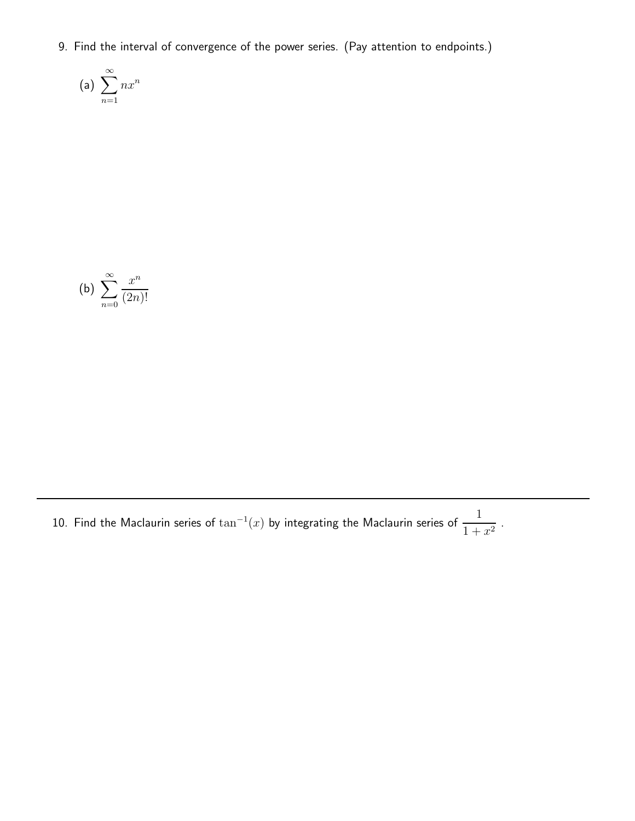9. Find the interval of convergence of the power series. (Pay attention to endpoints.)

(a) 
$$
\sum_{n=1}^{\infty} nx^n
$$

(b) 
$$
\sum_{n=0}^{\infty} \frac{x^n}{(2n)!}
$$

10. Find the Maclaurin series of  $\tan^{-1}(x)$  by integrating the Maclaurin series of  $\frac{1}{1+x^2}$  $\frac{1}{1+x^2}$ .